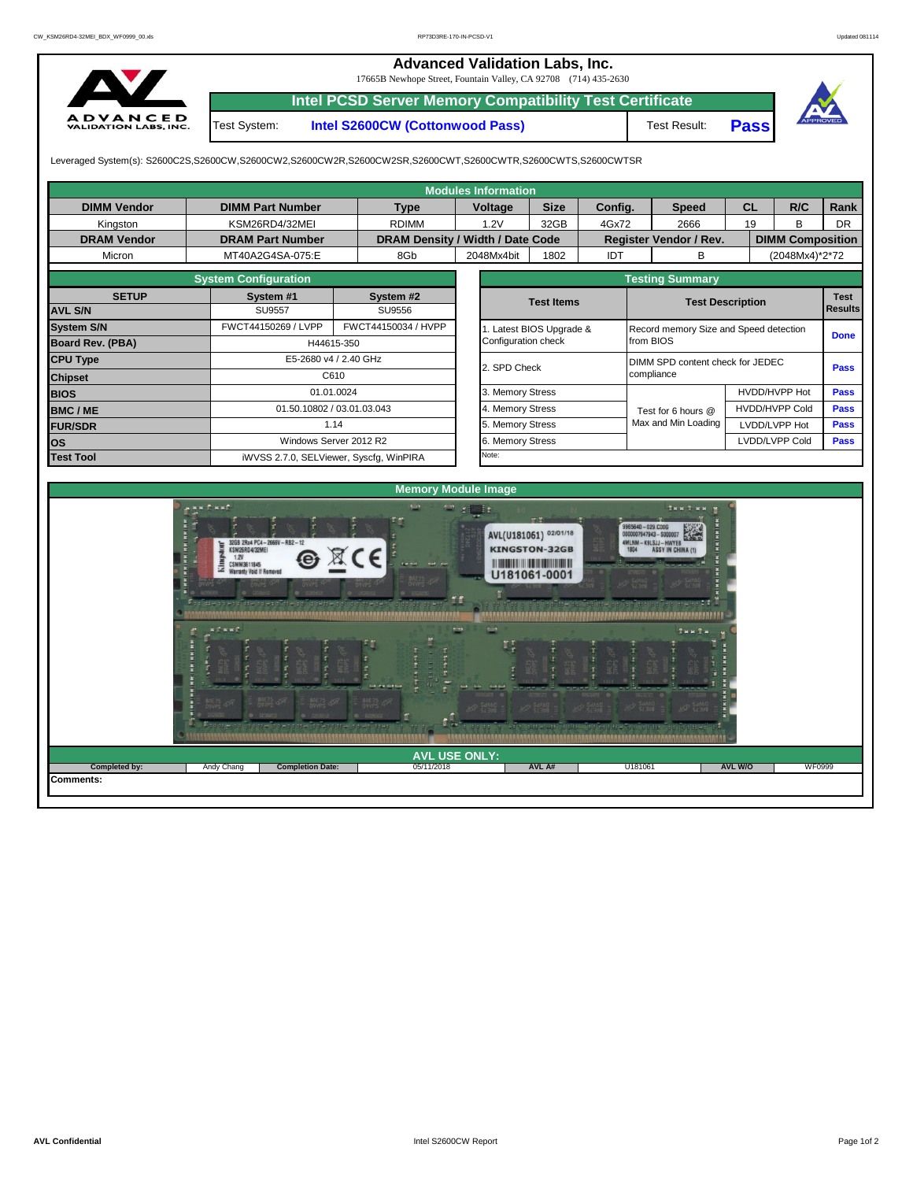## **Advanced Validation Labs, Inc.**

17665B Newhope Street, Fountain Valley, CA 92708 (714) 435-2630



**Intel PCSD Server Memory Compatibility Test Certificate** Test System: **Intel S2600CW (Cottonwood Pass)**

Test Result: **Pass**



Leveraged System(s): S2600C2S,S2600CW,S2600CW2,S2600CW2R,S2600CW2SR,S2600CWT,S2600CWTR,S2600CWTS,S2600CWTSR

|                         |                                                                                             |            |                     | <b>Modules Information</b>       |                                                                                                                     |                                                 |                                                                             |                       |                         |           |  |  |
|-------------------------|---------------------------------------------------------------------------------------------|------------|---------------------|----------------------------------|---------------------------------------------------------------------------------------------------------------------|-------------------------------------------------|-----------------------------------------------------------------------------|-----------------------|-------------------------|-----------|--|--|
| <b>DIMM Vendor</b>      | <b>DIMM Part Number</b>                                                                     |            | <b>Type</b>         | <b>Voltage</b>                   | <b>Size</b>                                                                                                         | Config.                                         | <b>Speed</b>                                                                | <b>CL</b>             | R/C                     | Rank      |  |  |
| Kingston                | KSM26RD4/32MEI                                                                              |            | <b>RDIMM</b>        | 1.2V                             | 32GB                                                                                                                | 4Gx72                                           | 2666                                                                        | 19                    | B                       | <b>DR</b> |  |  |
| <b>DRAM Vendor</b>      | <b>DRAM Part Number</b>                                                                     |            |                     | DRAM Density / Width / Date Code |                                                                                                                     |                                                 | Register Vendor / Rev.                                                      |                       | <b>DIMM Composition</b> |           |  |  |
| Micron                  |                                                                                             | 8Gb        | 2048Mx4bit          | 1802                             | IDT                                                                                                                 | B                                               |                                                                             | (2048Mx4)*2*72        |                         |           |  |  |
|                         | <b>System Configuration</b>                                                                 |            |                     |                                  |                                                                                                                     |                                                 | <b>Testing Summary</b>                                                      |                       |                         |           |  |  |
| <b>SETUP</b>            | System #1                                                                                   |            | System #2           |                                  | <b>Test Items</b>                                                                                                   |                                                 | <b>Test Description</b>                                                     |                       | <b>Test</b>             |           |  |  |
| <b>AVL S/N</b>          | <b>SU9557</b>                                                                               |            | SU9556              |                                  |                                                                                                                     |                                                 |                                                                             |                       | <b>Results</b>          |           |  |  |
| <b>System S/N</b>       | FWCT44150269 / LVPP                                                                         |            | FWCT44150034 / HVPP |                                  | Latest BIOS Upgrade &                                                                                               |                                                 | Record memory Size and Speed detection                                      |                       | <b>Done</b>             |           |  |  |
| <b>Board Rev. (PBA)</b> |                                                                                             | H44615-350 |                     | Configuration check              |                                                                                                                     |                                                 | from BIOS                                                                   |                       |                         |           |  |  |
| <b>CPU Type</b>         | E5-2680 v4 / 2.40 GHz                                                                       |            | 2. SPD Check        |                                  |                                                                                                                     | DIMM SPD content check for JEDEC<br><b>Pass</b> |                                                                             |                       |                         |           |  |  |
| <b>Chipset</b>          |                                                                                             | C610       |                     |                                  |                                                                                                                     |                                                 | compliance                                                                  |                       |                         |           |  |  |
| <b>BIOS</b>             |                                                                                             | 01.01.0024 |                     | 3. Memory Stress                 |                                                                                                                     |                                                 |                                                                             | HVDD/HVPP Hot         | <b>Pass</b>             |           |  |  |
| <b>BMC/ME</b>           | 01.50.10802 / 03.01.03.043                                                                  |            |                     | 4. Memory Stress                 |                                                                                                                     |                                                 | Test for 6 hours @                                                          | <b>HVDD/HVPP Cold</b> | <b>Pass</b>             |           |  |  |
| <b>FUR/SDR</b>          |                                                                                             | 1.14       |                     | 5. Memory Stress                 |                                                                                                                     |                                                 | Max and Min Loading                                                         | LVDD/LVPP Hot         | <b>Pass</b>             |           |  |  |
| <b>los</b>              | Windows Server 2012 R2                                                                      |            |                     | 6. Memory Stress                 |                                                                                                                     |                                                 |                                                                             | LVDD/LVPP Cold        | <b>Pass</b>             |           |  |  |
| <b>Test Tool</b>        | iWVSS 2.7.0, SELViewer, Syscfq, WinPIRA                                                     |            |                     | Note:                            |                                                                                                                     |                                                 |                                                                             |                       |                         |           |  |  |
|                         |                                                                                             |            |                     |                                  |                                                                                                                     |                                                 |                                                                             |                       |                         |           |  |  |
|                         |                                                                                             |            |                     | <b>Memory Module Image</b>       |                                                                                                                     |                                                 |                                                                             |                       |                         |           |  |  |
|                         | ANN CHAC<br>32GB 2Rx4 PC4-2666V-RB2-12<br>KSM26RD4/32MEI<br>1.2V<br>G<br><b>CSMM3611845</b> |            | <b>STATE</b>        | <b>CD</b> gives                  | er M<br>AVL(U181061) 02/01/18<br><b>KINGSTON-32GB</b><br><b><i>DI MORDI LITTI DI BIBI DI BRITTI LITTI DI BI</i></b> |                                                 | Tax T ax w<br>9965640-029.C00G<br>MLNM-K9LSJJ-HWYEB<br><b>ASSY IN CHINA</b> |                       |                         |           |  |  |